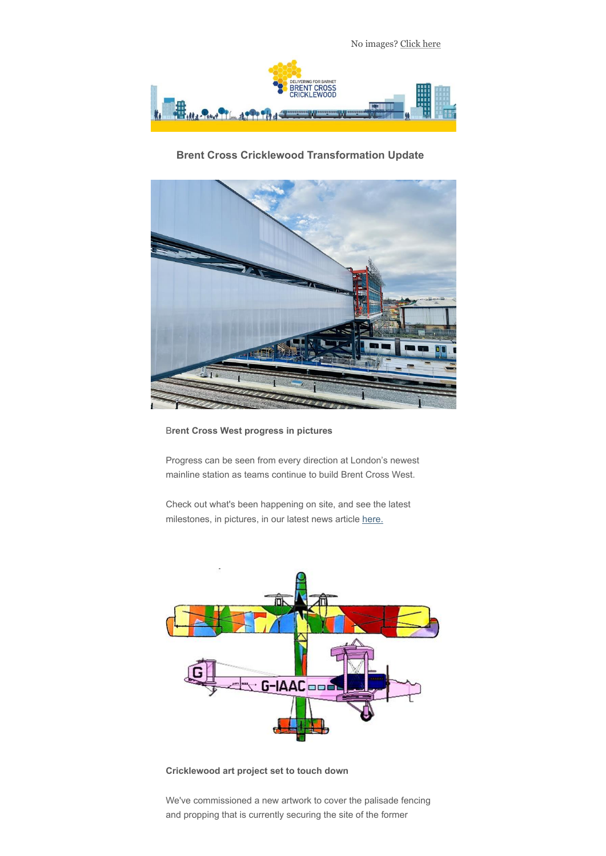

# **Brent Cross Cricklewood Transformation Update**



### B**rent Cross West progress in pictures**

Progress can be seen from every direction at London's newest mainline station as teams continue to build Brent Cross West.

Check out what's been happening on site, and see the latest milestones, in pictures, in our latest news article [here.](https://brentcrossthameslink.createsend1.com/t/d-l-auiijjd-l-y/)



### **Cricklewood art project set to touch down**

We've commissioned a new artwork to cover the palisade fencing and propping that is currently securing the site of the former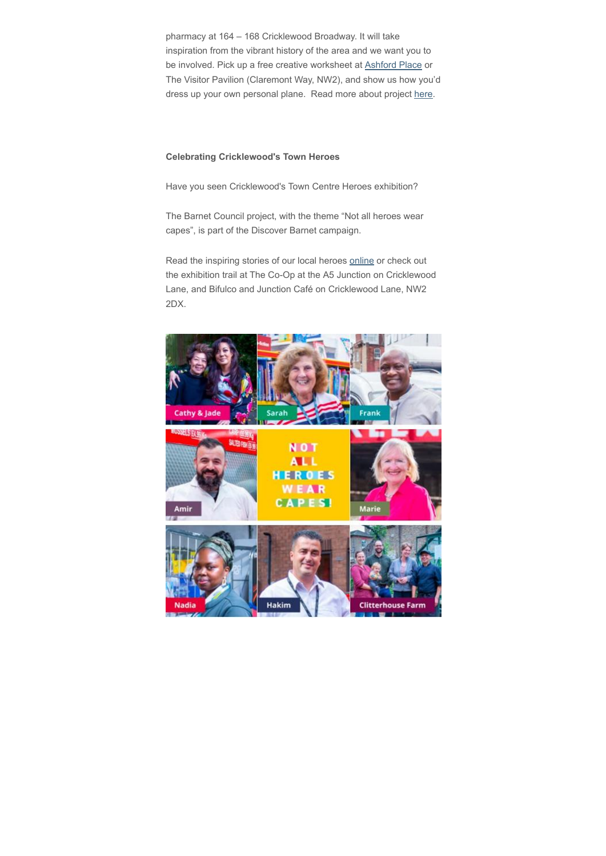pharmacy at 164 – 168 Cricklewood Broadway. It will take inspiration from the vibrant history of the area and we want you to be involved. Pick up a free creative worksheet at **Ashford Place** or The Visitor Pavilion (Claremont Way, NW2), and show us how you'd dress up your own personal plane. Read more about project [here](https://brentcrossthameslink.createsend1.com/t/d-l-auiijjd-l-t/).

#### **Celebrating Cricklewood's Town Heroes**

Have you seen Cricklewood's Town Centre Heroes exhibition?

The Barnet Council project, with the theme "Not all heroes wear capes", is part of the Discover Barnet campaign.

Read the inspiring stories of our local heroes [online](https://brentcrossthameslink.createsend1.com/t/d-l-auiijjd-l-i/) or check out the exhibition trail at The Co-Op at the A5 Junction on Cricklewood Lane, and Bifulco and Junction Café on Cricklewood Lane, NW2 2DX.